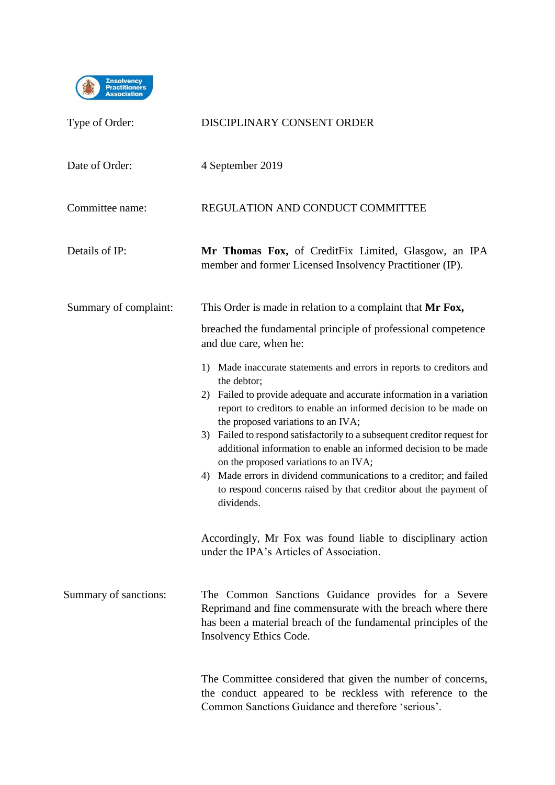

| Type of Order:        | DISCIPLINARY CONSENT ORDER                                                                                                                                                                                                                                                                                                                                                                                                                                                                                                                                                                                                     |
|-----------------------|--------------------------------------------------------------------------------------------------------------------------------------------------------------------------------------------------------------------------------------------------------------------------------------------------------------------------------------------------------------------------------------------------------------------------------------------------------------------------------------------------------------------------------------------------------------------------------------------------------------------------------|
| Date of Order:        | 4 September 2019                                                                                                                                                                                                                                                                                                                                                                                                                                                                                                                                                                                                               |
| Committee name:       | REGULATION AND CONDUCT COMMITTEE                                                                                                                                                                                                                                                                                                                                                                                                                                                                                                                                                                                               |
| Details of IP:        | Mr Thomas Fox, of CreditFix Limited, Glasgow, an IPA<br>member and former Licensed Insolvency Practitioner (IP).                                                                                                                                                                                                                                                                                                                                                                                                                                                                                                               |
| Summary of complaint: | This Order is made in relation to a complaint that Mr Fox,<br>breached the fundamental principle of professional competence<br>and due care, when he:                                                                                                                                                                                                                                                                                                                                                                                                                                                                          |
|                       | 1) Made inaccurate statements and errors in reports to creditors and<br>the debtor;<br>2) Failed to provide adequate and accurate information in a variation<br>report to creditors to enable an informed decision to be made on<br>the proposed variations to an IVA;<br>Failed to respond satisfactorily to a subsequent creditor request for<br>3)<br>additional information to enable an informed decision to be made<br>on the proposed variations to an IVA;<br>Made errors in dividend communications to a creditor; and failed<br>4)<br>to respond concerns raised by that creditor about the payment of<br>dividends. |
|                       | Accordingly, Mr Fox was found liable to disciplinary action<br>under the IPA's Articles of Association.                                                                                                                                                                                                                                                                                                                                                                                                                                                                                                                        |
| Summary of sanctions: | The Common Sanctions Guidance provides for a Severe<br>Reprimand and fine commensurate with the breach where there<br>has been a material breach of the fundamental principles of the<br>Insolvency Ethics Code.                                                                                                                                                                                                                                                                                                                                                                                                               |
|                       | The Committee considered that given the number of concerns,<br>the conduct appeared to be reckless with reference to the<br>Common Sanctions Guidance and therefore 'serious'.                                                                                                                                                                                                                                                                                                                                                                                                                                                 |